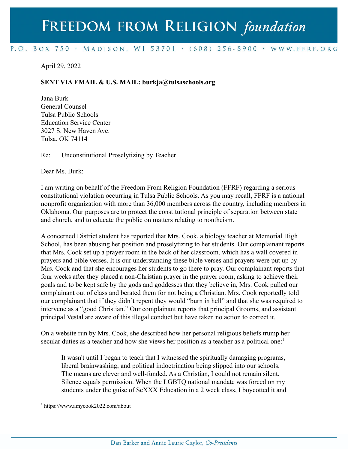## FREEDOM FROM RELIGION foundation

## P.O. BOX 750 > MADISON, WI 53701 > (608) 256-8900 > WWW.FFRF.ORG

## April 29, 2022

## **SENT VIA EMAIL & U.S. MAIL: burkja@tulsaschools.org**

Jana Burk General Counsel Tulsa Public Schools Education Service Center 3027 S. New Haven Ave. Tulsa, OK 74114

Re: Unconstitutional Proselytizing by Teacher

Dear Ms. Burk:

I am writing on behalf of the Freedom From Religion Foundation (FFRF) regarding a serious constitutional violation occurring in Tulsa Public Schools. As you may recall, FFRF is a national nonprofit organization with more than 36,000 members across the country, including members in Oklahoma. Our purposes are to protect the constitutional principle of separation between state and church, and to educate the public on matters relating to nontheism.

A concerned District student has reported that Mrs. Cook, a biology teacher at Memorial High School, has been abusing her position and proselytizing to her students. Our complainant reports that Mrs. Cook set up a prayer room in the back of her classroom, which has a wall covered in prayers and bible verses. It is our understanding these bible verses and prayers were put up by Mrs. Cook and that she encourages her students to go there to pray. Our complainant reports that four weeks after they placed a non-Christian prayer in the prayer room, asking to achieve their goals and to be kept safe by the gods and goddesses that they believe in, Mrs. Cook pulled our complainant out of class and berated them for not being a Christian. Mrs. Cook reportedly told our complainant that if they didn't repent they would "burn in hell" and that she was required to intervene as a "good Christian." Our complainant reports that principal Grooms, and assistant principal Vestal are aware of this illegal conduct but have taken no action to correct it.

On a website run by Mrs. Cook, she described how her personal religious beliefs trump her secular duties as a teacher and how she views her position as a teacher as a political one:<sup>1</sup>

It wasn't until I began to teach that I witnessed the spiritually damaging programs, liberal brainwashing, and political indoctrination being slipped into our schools. The means are clever and well-funded. As a Christian, I could not remain silent. Silence equals permission. When the LGBTQ national mandate was forced on my students under the guise of SeXXX Education in a 2 week class, I boycotted it and

<sup>1</sup> https://www.amycook2022.com/about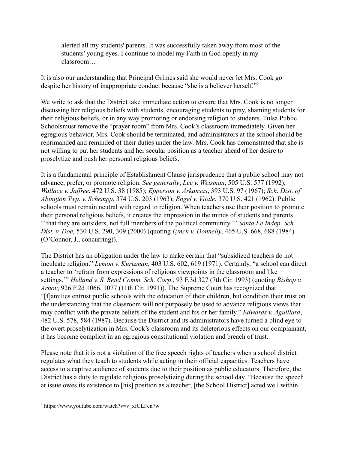alerted all my students' parents. It was successfully taken away from most of the students' young eyes. I continue to model my Faith in God openly in my classroom…

It is also our understanding that Principal Grimes said she would never let Mrs. Cook go despite her history of inappropriate conduct because "she is a believer herself."<sup>2</sup>

We write to ask that the District take immediate action to ensure that Mrs. Cook is no longer discussing her religious beliefs with students, encouraging students to pray, shaming students for their religious beliefs, or in any way promoting or endorsing religion to students. Tulsa Public Schoolsmust remove the "prayer room" from Mrs. Cook's classroom immediately. Given her egregious behavior, Mrs. Cook should be terminated, and administrators at the school should be reprimanded and reminded of their duties under the law. Mrs. Cook has demonstrated that she is not willing to put her students and her secular position as a teacher ahead of her desire to proselytize and push her personal religious beliefs.

It is a fundamental principle of Establishment Clause jurisprudence that a public school may not advance, prefer, or promote religion. *See generally*, *Lee v. Weisman*, 505 U.S. 577 (1992); *Wallace v. Jaffree*, 472 U.S. 38 (1985); *Epperson v. Arkansas*, 393 U.S. 97 (1967); *Sch. Dist. of Abington Twp. v. Schempp*, 374 U.S. 203 (1963); *Engel v. Vitale*, 370 U.S. 421 (1962). Public schools must remain neutral with regard to religion. When teachers use their position to promote their personal religious beliefs, it creates the impression in the minds of students and parents "'that they are outsiders, not full members of the political community.'" *Santa Fe Indep. Sch. Dist. v. Doe*, 530 U.S. 290, 309 (2000) (quoting *Lynch v. Donnelly*, 465 U.S. 668, 688 (1984) (O'Connor, J., concurring)).

The District has an obligation under the law to make certain that "subsidized teachers do not inculcate religion." *Lemon v. Kurtzman*, 403 U.S. 602, 619 (1971). Certainly, "a school can direct a teacher to 'refrain from expressions of religious viewpoints in the classroom and like settings.'" *Helland v. S. Bend Comm. Sch. Corp*., 93 F.3d 327 (7th Cir. 1993) (quoting *Bishop v. Arnov*, 926 F.2d 1066, 1077 (11th Cir. 1991)). The Supreme Court has recognized that "[f]amilies entrust public schools with the education of their children, but condition their trust on the understanding that the classroom will not purposely be used to advance religious views that may conflict with the private beliefs of the student and his or her family." *Edwards v. Aguillard*, 482 U.S. 578, 584 (1987). Because the District and its administrators have turned a blind eye to the overt proselytization in Mrs. Cook's classroom and its deleterious effects on our complainant, it has become complicit in an egregious constitutional violation and breach of trust.

Please note that it is not a violation of the free speech rights of teachers when a school district regulates what they teach to students while acting in their official capacities. Teachers have access to a captive audience of students due to their position as public educators. Therefore, the District has a duty to regulate religious proselytizing during the school day. "Because the speech at issue owes its existence to [his] position as a teacher, [the School District] acted well within

 $2$  https://www.youtube.com/watch?v=v\_xfCLFcn7w